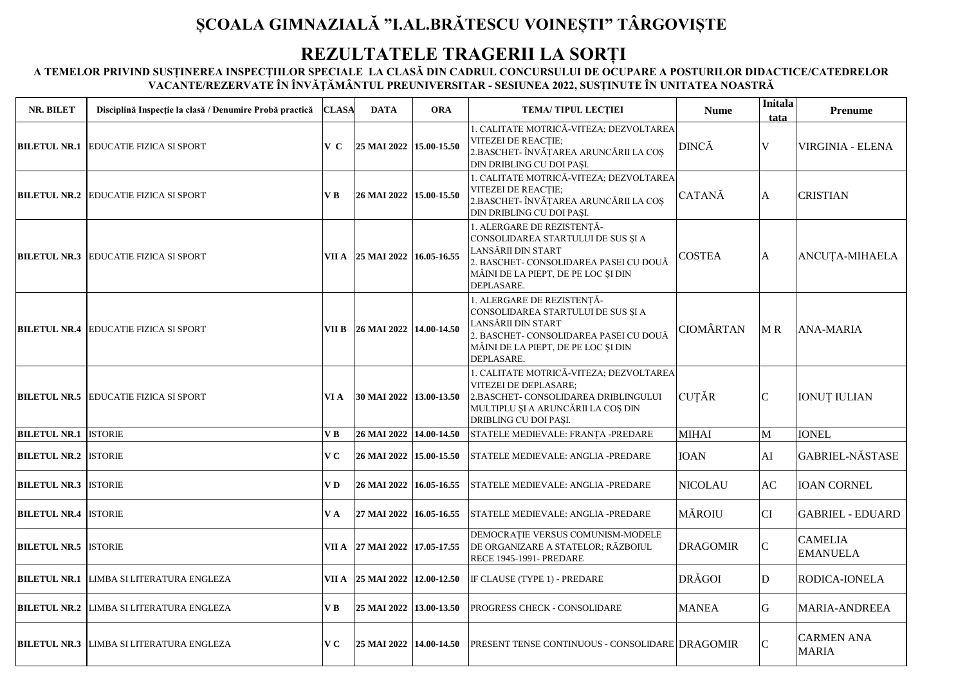## **ȘCOALA GIMNAZIALĂ "I.AL.BRĂTESCU VOINEȘTI" TÂRGOVIȘTE**

## **REZULTATELE TRAGERII LA SORȚI**

**A TEMELOR PRIVIND SUSȚINEREA INSPECȚIILOR SPECIALE LA CLASĂ DIN CADRUL CONCURSULUI DE OCUPARE A POSTURILOR DIDACTICE/CATEDRELOR VACANTE/REZERVATE ÎN ÎNVĂŢĂMÂNTUL PREUNIVERSITAR - SESIUNEA 2022, SUSȚINUTE ÎN UNITATEA NOASTRĂ**

| NR. BILET                   | Disciplină Inspecție la clasă / Denumire Probă practică | <b>CLASA</b>   | <b>DATA</b>                   | <b>ORA</b> | <b>TEMA/TIPUL LECTIEI</b>                                                                                                                                                             | <b>Nume</b>      | Initala<br>tata | <b>Prenume</b>                    |
|-----------------------------|---------------------------------------------------------|----------------|-------------------------------|------------|---------------------------------------------------------------------------------------------------------------------------------------------------------------------------------------|------------------|-----------------|-----------------------------------|
| <b>BILETUL NR.1</b>         | <b>EDUCATIE FIZICA SI SPORT</b>                         | V C            | 25 MAI 2022 15.00-15.50       |            | 1. CALITATE MOTRICĂ-VITEZA; DEZVOLTAREA<br><b>VITEZEI DE REACȚIE;</b><br>2.BASCHET- ÎNVĂȚAREA ARUNCĂRII LA COȘ<br>DIN DRIBLING CU DOI PAȘI.                                           | <b>DINCĂ</b>     | V               | VIRGINIA - ELENA                  |
|                             | <b>BILETUL NR.2 EDUCATIE FIZICA SI SPORT</b>            | V B            | 26 MAI 2022 15.00-15.50       |            | 1. CALITATE MOTRICĂ-VITEZA; DEZVOLTAREA<br><b>VITEZEI DE REACTIE:</b><br>2.BASCHET- ÎNVĂȚAREA ARUNCĂRII LA COȘ<br>DIN DRIBLING CU DOI PASI.                                           | CATANĂ           | A               | <b>CRISTIAN</b>                   |
|                             | <b>BILETUL NR.3 EDUCATIE FIZICA SI SPORT</b>            |                | VII A 25 MAI 2022 16.05-16.55 |            | 1. ALERGARE DE REZISTENTĂ-<br>CONSOLIDAREA STARTULUI DE SUS ȘI A<br>LANSĂRII DIN START<br>2. BASCHET- CONSOLIDAREA PASEI CU DOUĂ<br>MÂINI DE LA PIEPT, DE PE LOC ȘI DIN<br>DEPLASARE. | <b>COSTEA</b>    | A               | ANCUȚA-MIHAELA                    |
|                             | <b>BILETUL NR.4 EDUCATIE FIZICA SI SPORT</b>            |                | VII B 26 MAI 2022 14.00-14.50 |            | 1. ALERGARE DE REZISTENȚĂ-<br>CONSOLIDAREA STARTULUI DE SUS ȘI A<br>LANSĂRII DIN START<br>2. BASCHET- CONSOLIDAREA PASEI CU DOUĂ<br>MÂINI DE LA PIEPT, DE PE LOC ȘI DIN<br>DEPLASARE. | <b>CIOMÂRTAN</b> | MR              | <b>ANA-MARIA</b>                  |
|                             | <b>BILETUL NR.5 EDUCATIE FIZICA SI SPORT</b>            | VI A           | 30 MAI 2022 13.00-13.50       |            | 1. CALITATE MOTRICĂ-VITEZA; DEZVOLTAREA<br><b>VITEZEI DE DEPLASARE:</b><br>2.BASCHET- CONSOLIDAREA DRIBLINGULUI<br>MULTIPLU ȘI A ARUNCĂRII LA COȘ DIN<br>DRIBLING CU DOI PAȘI.        | <b>CUTĂR</b>     | $\mathsf{C}$    | <b>IONUT IULIAN</b>               |
| <b>BILETUL NR.1 ISTORIE</b> |                                                         | V <sub>B</sub> | 26 MAI 2022 14.00-14.50       |            | STATELE MEDIEVALE: FRANȚA -PREDARE                                                                                                                                                    | <b>MIHAI</b>     | M               | <b>IONEL</b>                      |
| <b>BILETUL NR.2 ISTORIE</b> |                                                         | V <sub>C</sub> | 26 MAI 2022 15.00-15.50       |            | STATELE MEDIEVALE: ANGLIA -PREDARE                                                                                                                                                    | <b>IOAN</b>      | AI              | <b>GABRIEL-NĂSTASE</b>            |
| <b>BILETUL NR.3 ISTORIE</b> |                                                         | VD.            | 26 MAI 2022 16.05-16.55       |            | STATELE MEDIEVALE: ANGLIA -PREDARE                                                                                                                                                    | NICOLAU          | AC              | <b>IOAN CORNEL</b>                |
| <b>BILETUL NR.4 ISTORIE</b> |                                                         | VA             | 27 MAI 2022 16.05-16.55       |            | STATELE MEDIEVALE: ANGLIA -PREDARE                                                                                                                                                    | <b>MĂROIU</b>    | <b>CI</b>       | <b>GABRIEL - EDUARD</b>           |
| <b>BILETUL NR.5 ISTORIE</b> |                                                         |                | VII A 27 MAI 2022 17.05-17.55 |            | DEMOCRAȚIE VERSUS COMUNISM-MODELE<br>DE ORGANIZARE A STATELOR; RĂZBOIUL<br><b>RECE 1945-1991- PREDARE</b>                                                                             | DRAGOMIR         | $\mathbf C$     | <b>CAMELIA</b><br><b>EMANUELA</b> |
| <b>BILETUL NR.1</b>         | <b>LIMBA SI LITERATURA ENGLEZA</b>                      |                | VII A 25 MAI 2022 12.00-12.50 |            | IF CLAUSE (TYPE 1) - PREDARE                                                                                                                                                          | <b>DRĂGOI</b>    | D               | RODICA-IONELA                     |
| <b>BILETUL NR.2</b>         | <b>LIMBA SI LITERATURA ENGLEZA</b>                      | V B            | 25 MAI 2022 13.00-13.50       |            | PROGRESS CHECK - CONSOLIDARE                                                                                                                                                          | MANEA            | G               | MARIA-ANDREEA                     |
| <b>BILETUL NR.3</b>         | LIMBA SI LITERATURA ENGLEZA                             | V <sub>C</sub> | 25 MAI 2022 14.00-14.50       |            | PRESENT TENSE CONTINUOUS - CONSOLIDARE DRAGOMIR                                                                                                                                       |                  | $\mathbf C$     | <b>CARMEN ANA</b><br><b>MARIA</b> |